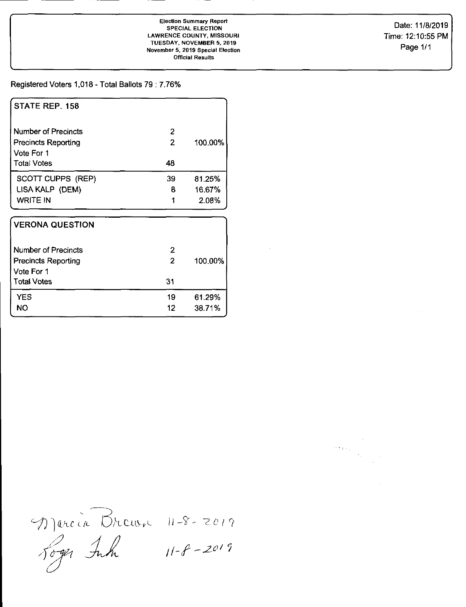Date: 11/8/2019 Time: 12:10:55 PM Page 1/1

## Registered Voters 1,018 - Total Ballots 79 : 7.76%

| STATE REP. 158                                    |                     |         |
|---------------------------------------------------|---------------------|---------|
| Number of Precincts<br><b>Precincts Reporting</b> | 2<br>$\overline{2}$ | 100.00% |
| Vote For 1<br><b>Total Votes</b>                  | 48                  |         |
| SCOTT CUPPS (REP)                                 | 39                  | 81.25%  |
| LISA KALP (DEM)                                   | 8                   | 16.67%  |
| <b>WRITE IN</b>                                   | 1                   | 2.08%   |
| <b>VERONA QUESTION</b>                            |                     |         |
| Number of Precincts                               | $\overline{2}$      |         |
| <b>Precincts Reporting</b>                        | $\overline{2}$      | 100.00% |
| Vote For 1                                        |                     |         |
| <b>Total Votes</b>                                | 31                  |         |
| <b>YES</b>                                        | 19                  | 61.29%  |
| <b>NO</b>                                         | 12                  | 38.71%  |

.J  $\gamma$ )arcia Drous 11-8-2019  $11 - f - 2019$ Joger Inh